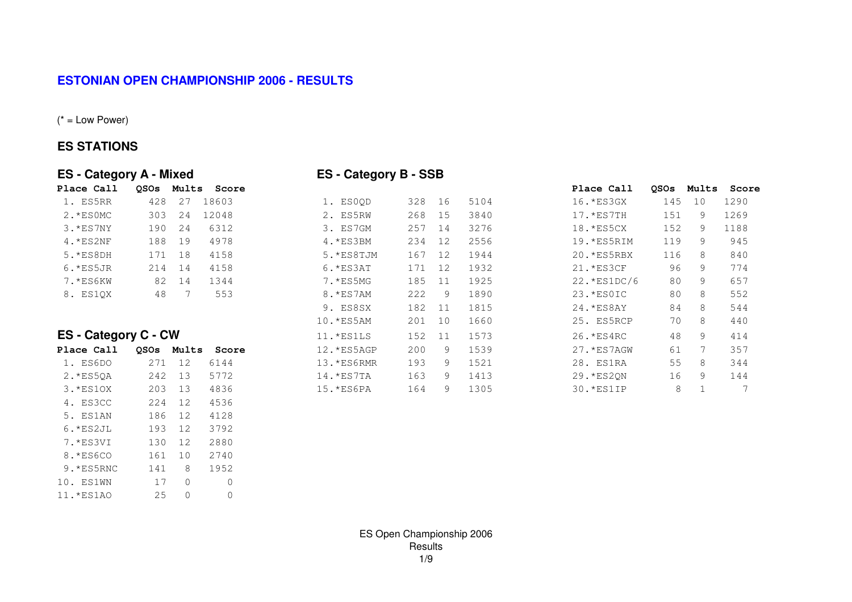## **ESTONIAN OPEN CHAMPIONSHIP 2006 - RESULTS**

 $(* = Low Power)$ 

## **ES STATIONS**

| Place Call |        |    | OSOs Mults Score |            |     |    |      | Place Call    |     | OSOs Mults Sco |      |
|------------|--------|----|------------------|------------|-----|----|------|---------------|-----|----------------|------|
| 1. ES5RR   | 428    | 27 | 18603            | 1. ES0OD   | 328 | 16 | 5104 | 16. * ES3GX   | 145 | 10             | 1290 |
| 2.*ESOMC   | 303    | 24 | 12048            | 2. ES5RW   | 268 | 15 | 3840 | $17.$ *ES7TH  | 151 | 9              | 1269 |
| 3.*ES7NY   | 190    | 24 | 6312             | 3. ES7GM   | 257 | 14 | 3276 | 18.*ES5CX     | 152 | 9              | 1188 |
| $4.*ES2NF$ | 188    | 19 | 4978             | 4.*ES3BM   | 234 | 12 | 2556 | 19.*ES5RIM    | 119 | 9              | 945  |
| $5.*ES8DH$ | 171    | 18 | 4158             | 5.*ES8TJM  | 167 | 12 | 1944 | 20. *ES5RBX   | 116 | 8              | 840  |
| $6.*ES5JR$ | 214 14 |    | 4158             | $6.*ES3AT$ | 171 | 12 | 1932 | $21.*ES3CF$   | 96  | 9              | 774  |
| 7.*ES6KW   | 82.    | 14 | 1344             | 7.*ES5MG   | 185 |    | 1925 | $22.*ES1DC/6$ | 80  | 9              | 657  |
| 8. ES10X   | 48     |    | 553              | 8.*ES7AM   | 222 | 9  | 1890 | 23. *ES0IC    | 80  | 8              | 552  |

## **ES - Category C - CW**

| Place Call |     |              | OSOs Mults Score | 12. *ES5AGP | 200 | 9 | 1539 | 27. *ES7AGW | 61 |   | 357 |
|------------|-----|--------------|------------------|-------------|-----|---|------|-------------|----|---|-----|
| 1. ES6DO   | 271 | 12           | 6144             | 13.*ES6RMR  | 193 | 9 | 1521 | 28. ES1RA   | 55 | 8 | 344 |
| $2.*ES5QA$ | 242 | 13           | 5772             | $14.*ES7TA$ | 163 | 9 | 1413 | 29. *ES2ON  | 16 | 9 | 144 |
| $3.*ES10X$ | 203 | 13           | 4836             | $15.*ES6PA$ | 164 | 9 | 1305 | $30.*ES1IP$ | 8  |   | 7   |
| 4. ES3CC   | 224 | 12           | 4536             |             |     |   |      |             |    |   |     |
| 5. ES1AN   | 186 | 12           | 4128             |             |     |   |      |             |    |   |     |
| $6.*ES2JL$ | 193 | 12           | 3792             |             |     |   |      |             |    |   |     |
| 7.*ES3VI   | 130 | 12           | 2880             |             |     |   |      |             |    |   |     |
| 8.*ES6CO   | 161 | 10           | 2740             |             |     |   |      |             |    |   |     |
| 9.*ES5RNC  | 141 | 8            | 1952             |             |     |   |      |             |    |   |     |
| 10. ES1WN  | 17  | $\Omega$     | $\mathbf{0}$     |             |     |   |      |             |    |   |     |
| 11. *ES1AO | 25  | $\mathbf{0}$ | 0                |             |     |   |      |             |    |   |     |

## **ES - Category A - Mixed ES - Category B - SSB**

| 1. ES0OD    | 328 | 16 | 5104 |
|-------------|-----|----|------|
| 2. ES5RW    | 268 | 15 | 3840 |
| ES7GM<br>3. | 257 | 14 | 3276 |
| 4.*ES3BM    | 234 | 12 | 2556 |
| 5.*ES8TJM   | 167 | 12 | 1944 |
| $6.*ES3AT$  | 171 | 12 | 1932 |
| 7. *ES5MG   | 185 | 11 | 1925 |
| 8.*ES7AM    | 222 | 9  | 1890 |
| 9. ES8SX    | 182 | 11 | 1815 |
| $.0.*ES5AM$ | 201 | 10 | 1660 |
| 1.*ES1LS    | 152 | 11 | 1573 |
| .2. *ES5AGP | 200 | 9  | 1539 |
| .3.*ES6RMR  | 193 | 9  | 1521 |
| .4.*ES7TA   | 163 | 9  | 1413 |
| $.5.*ES6PA$ | 164 | 9  | 1305 |

| Place Call                  | <b>OSOs</b> | Mults | Score |             |     |      |      | Place Call    | <b>OSOs</b> | Mults | Score |
|-----------------------------|-------------|-------|-------|-------------|-----|------|------|---------------|-------------|-------|-------|
| 1. ES5RR                    | 428         | 27    | 18603 | 1. ESOQD    | 328 | 16   | 5104 | 16. * ES3GX   | 145         | 10    | 1290  |
| 2.*ESOMC                    | 303         | 24    | 12048 | 2. ES5RW    | 268 | 15   | 3840 | $17.$ *ES7TH  | 151         | 9     | 1269  |
| $3.*ES7NY$                  | 190         | 24    | 6312  | 3. ES7GM    | 257 | - 14 | 3276 | 18. * ES5CX   | 152         | 9     | 1188  |
| $4.*ES2NF$                  | 188         | 19    | 4978  | 4. *ES3BM   | 234 | 12   | 2556 | 19.*ES5RIM    | 119         | 9     | 945   |
| 5. *ES8DH                   | 171         | 18    | 4158  | 5.*ES8TJM   | 167 | 12   | 1944 | 20.*ES5RBX    | 116         | 8     | 840   |
| $6.*ES5JR$                  | 214         | 14    | 4158  | $6.*ES3AT$  | 171 | 12   | 1932 | 21. * ES3CF   | 96          | 9     | 774   |
| 7.*ES6KW                    | 82          | 14    | 1344  | 7.*ES5MG    | 185 | 11   | 1925 | $22.*ES1DC/6$ | 80          | 9     | 657   |
| 8. ES10X                    | 48          |       | 553   | 8. *ES7AM   | 222 | 9    | 1890 | 23. * ESOIC   | 80          | 8     | 552   |
|                             |             |       |       | 9. ES8SX    | 182 | - 11 | 1815 | 24. * ES8AY   | 84          | 8     | 544   |
|                             |             |       |       | 10. * ES5AM | 201 | 10   | 1660 | 25. ES5RCP    | 70          | 8     | 440   |
| <b>ES - Category C - CW</b> |             |       |       | $11.*ESILS$ | 152 | -11  | 1573 | $26.*ES4RC$   | 48          | 9     | 414   |
| Place Call                  | <b>OSOs</b> | Mults | Score | 12.*ES5AGP  | 200 | 9    | 1539 | 27.*ES7AGW    | 61          |       | 357   |
| 1. ES6DO                    | 271         | 12    | 6144  | 13. *ES6RMR | 193 | 9    | 1521 | 28. ES1RA     | 55          | 8     | 344   |
| 2. *ES50A                   | 242         | 13    | 5772  | 14. * ES7TA | 163 | 9    | 1413 | 29.*ES2QN     | 16          | 9     | 144   |
| $3.*ES1OX$                  | 203         | 13    | 4836  | 15.*ES6PA   | 164 | 9    | 1305 | $30.*ES1TP$   | 8           |       |       |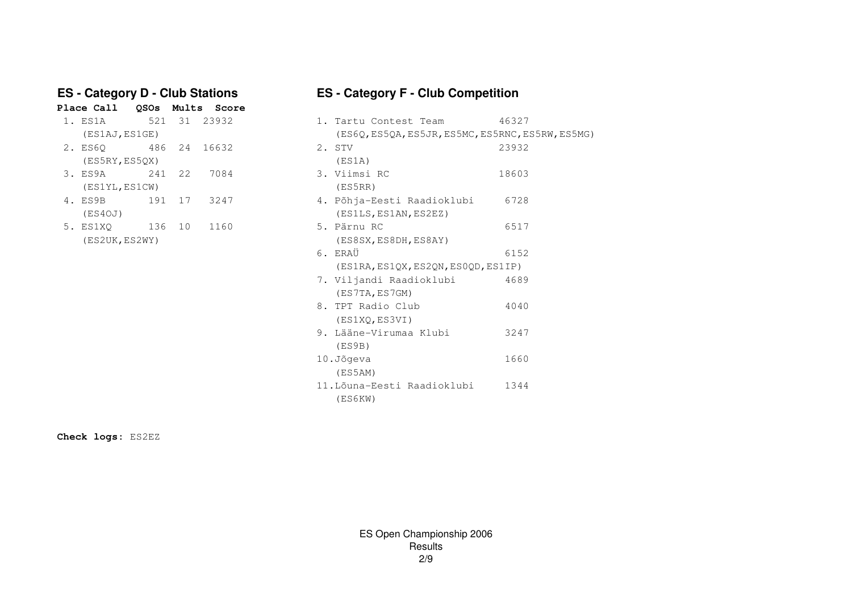# **FS - Category D - Club Stations**<br>Place Call 0SOs Mults Score

|                     |              |    | Fiace call coos muits scole |                        |
|---------------------|--------------|----|-----------------------------|------------------------|
| 1. ES1A             |              |    | 521 31 23932                | 1. Tartu Contest Team  |
| (ES1AJ, ES1GE)      |              |    |                             | (ES6Q, ES5QA, ES5JR, E |
| 2. ES60             | 486 24 16632 |    |                             | 2. STV                 |
| (ES5RY, ES50X)      |              |    |                             | (ES1A)                 |
| 3. ES9A 241 22 7084 |              |    |                             | 3. Viimsi RC           |
| (ES1YL, ES1CW)      |              |    |                             | (ES5RR)                |
| 4. ES9B             | 191 17 3247  |    |                             | 4. Põhja-Eesti Raadiok |
| (ES4OJ)             |              |    |                             | (ES1LS, ES1AN, ES2EZ)  |
| 5. ES1XO            | 136          | 10 | 1160                        | 5. Pärnu RC            |

## **ES - Category F - Club Competition**

| 1. ES1A         |        | 521 31 23932 | 1. Tartu Contest Team                             | 46327 |
|-----------------|--------|--------------|---------------------------------------------------|-------|
| (ES1AJ, ES1GE)  |        |              | (ES6Q, ES5QA, ES5JR, ES5MC, ES5RNC, ES5RW, ES5MG) |       |
| 2. ES6Q 486 24  |        | 16632        | 2. STV                                            | 23932 |
| (ES5RY, ES5QX)  |        |              | (ES1A)                                            |       |
| 3. ES9A 241 22  |        | 7084         | 3. Viimsi RC                                      | 18603 |
| (ES1YL, ES1CW)  |        |              | (ES5RR)                                           |       |
| 4. ES9B         | 191 17 | 3247         | 4. Põhja-Eesti Raadioklubi                        | 6728  |
| (ES4OJ)         |        |              | (ES1LS, ES1AN, ES2EZ)                             |       |
| 5. ES1XQ 136 10 |        | 1160         | 5. Pärnu RC                                       | 6517  |
| (ES2UK, ES2WY)  |        |              | (ES8SX, ES8DH, ES8AY)                             |       |
|                 |        |              | 6. ERAÜ                                           | 6152  |
|                 |        |              | (ES1RA, ES1QX, ES2QN, ES0QD, ES1IP)               |       |
|                 |        |              | 7. Viljandi Raadioklubi                           | 4689  |
|                 |        |              | (ES7TA, ES7GM)                                    |       |
|                 |        |              | 8. TPT Radio Club                                 | 4040  |
|                 |        |              | (ES1XQ, ES3VI)                                    |       |
|                 |        |              | 9. Lääne-Virumaa Klubi                            | 3247  |
|                 |        |              | (ES9B)                                            |       |
|                 |        |              | 10.Jõqeva                                         | 1660  |
|                 |        |              | (ES5AM)                                           |       |
|                 |        |              | 11. Lõuna-Eesti Raadioklubi                       | 1344  |
|                 |        |              | (ES6KW)                                           |       |

**Check logs:** ES2EZ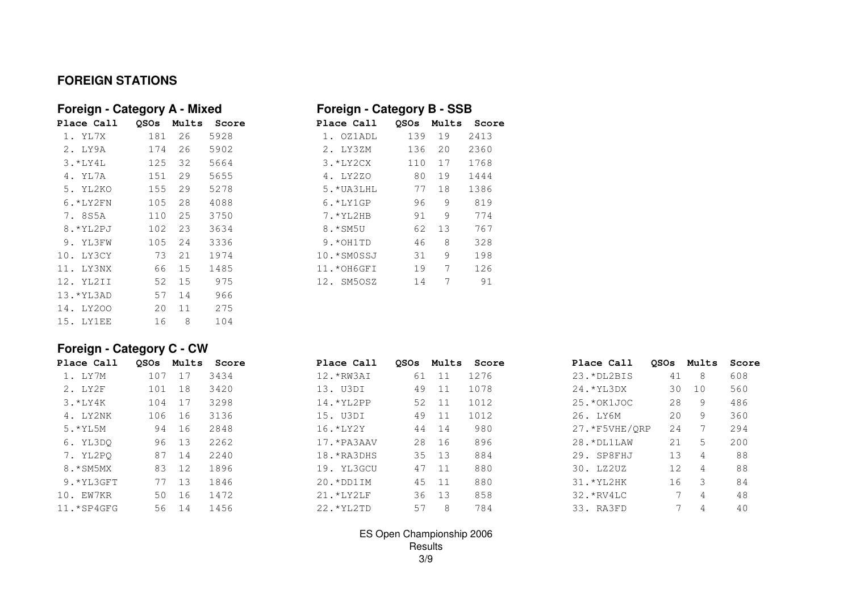## **FOREIGN STATIONS**

| Foreign - Category A - Mixed |             |       |       | Foreign - Category B - SSB         |      |
|------------------------------|-------------|-------|-------|------------------------------------|------|
| Place Call                   | <b>OSOs</b> | Mults | Score | Mults<br>Place Call<br><b>OSOs</b> | Sco  |
| 1. YL7X                      | 181         | 26    | 5928  | 139<br>19<br>1. OZ1ADL             | 2413 |
| 2. LY9A                      | 174         | 26    | 5902  | 2. LY3ZM<br>136<br>20              | 2360 |
| $3.*LY4L$                    | 125         | 32    | 5664  | $3.*LY2CX$<br>17<br>110            | 1768 |
| 4. YL7A                      | 151         | 29    | 5655  | 80<br>4. LY2ZO<br>19               | 1444 |
| 5. YL2KO                     | 155         | 29    | 5278  | 5. * UA3LHL<br>77<br>18            | 1386 |
| $6.*LY2FN$                   | 105         | 28    | 4088  | 9<br>$6.*LY1GP$<br>96              | 819  |
| 7. 8S5A                      | 110         | 25    | 3750  | 9<br>$7.*YL2HB$<br>91              | 774  |
| 8.*YL2PJ                     | 102         | 23    | 3634  | 8.*SM5U<br>62<br>13                | 767  |
| 9. YL3FW                     | 105         | 24    | 3336  | 8<br>9.*OH1TD<br>46                | 328  |
| 10. LY3CY                    | 73          | 21    | 1974  | 9<br>10.*SMOSSJ<br>31              | 198  |
| 11. LY3NX                    | 66          | 15    | 1485  | 7<br>19<br>11.*OH6GFI              | 126  |
| 12. YL2II                    | 52          | 15    | 975   | 7<br>12. SM50SZ<br>14              | 91   |
| 13. * YL3AD                  | 57          | 14    | 966   |                                    |      |
| 14. LY200                    | 20          | 11    | 275   |                                    |      |
| 15. LY1EE                    | 16          | 8     | 104   |                                    |      |
|                              |             |       |       |                                    |      |

| Foreign - Category A - Mixed |             |       |       | Foreign - Category B - SSB |             |       |       |  |  |
|------------------------------|-------------|-------|-------|----------------------------|-------------|-------|-------|--|--|
| Place Call                   | <b>OSOs</b> | Mults | Score | Place Call                 | <b>OSOs</b> | Mults | Score |  |  |
| 1. YL7X                      | 181         | 26    | 5928  | 1. OZ1ADL                  | 139         | 19    | 2413  |  |  |
| 2. LY9A                      | 174         | 26    | 5902  | 2. LY3ZM                   | 136         | 20    | 2360  |  |  |
| $3. * LYAL$                  | 125         | 32    | 5664  | $3.*LY2CX$                 | 110         | 17    | 1768  |  |  |
| 4. YL7A                      | 151         | 29    | 5655  | 4. LY2ZO                   | 80          | 19    | 1444  |  |  |
| 5. YL2KO                     | 155         | 29    | 5278  | $5.*UA3LHL$                | 77          | 18    | 1386  |  |  |
| $6. *LY2FN$                  | 105         | 28    | 4088  | $6.*LY1GP$                 | 96          | 9     | 819   |  |  |
| 7. 8S5A                      | 110         | 25    | 3750  | $7.$ *YL2HB                | 91          | 9     | 774   |  |  |
| 8. *YL2PJ                    | 102         | 23    | 3634  | 8.*SM5U                    | 62          | 13    | 767   |  |  |
| 9. YL3FW                     | 105         | 2.4   | 3336  | 9.*OH1TD                   | 46          | 8     | 328   |  |  |
| 10. LY3CY                    | 73          | 21    | 1974  | 10.*SMOSSJ                 | 31          | 9     | 198   |  |  |
| 11. LY3NX                    | 66          | 15    | 1485  | 11.*OH6GFI                 | 19          | 7     | 126   |  |  |
| 12. YL2II                    | 52          | 15    | 975   | 12. SM50SZ                 | 14          | 7     | 91    |  |  |
|                              |             |       |       |                            |             |       |       |  |  |

## **Foreign - Category C - CW**

| Place Call   |     |    | OSOs Mults Score | Place Call    | <b>OSOs</b> | Mults | Score | Place Call     | <b>OSOs</b> | Mults          | Score |
|--------------|-----|----|------------------|---------------|-------------|-------|-------|----------------|-------------|----------------|-------|
| 1. LY7M      | 107 | 17 | 3434             | 12. *RW3AI    | 61          | $-11$ | 1276  | 23. *DL2BIS    | 41          | 8              | 608   |
| 2. LY2F      | 101 | 18 | 3420             | 13. U3DI      | 49          | 11    | 1078  | $24.*YL3DX$    | 30          | 10             | 560   |
| $3. * LY4K$  | 104 | 17 | 3298             | $14.$ *YL2PP  |             | 52 11 | 1012  | $25.*OK1JOC$   | 28          | 9              | 486   |
| 4. LY2NK     | 106 | 16 | 3136             | 15. U3DI      | 49          | - 11  | 1012  | 26. LY6M       | 20          | 9              | 360   |
| $5.$ *YL5M   | 94  | 16 | 2848             | $16. * LYZY$  | 44          | 14    | 980   | 27. *F5VHE/ORP | 2.4         |                | 294   |
| 6. YL3DO     | 96  | 13 | 2262             | 17.*PA3AAV    | 28          | - 16  | 896   | $28. * DLLAW$  | 21          | .5             | 200   |
| 7. YL2PO     | 87  | 14 | 2240             | $18.$ *RA3DHS |             | 35 13 | 884   | 29. SP8FHJ     | 13          | $\overline{4}$ | 88    |
| 8.*SM5MX     | 83  | 12 | 1896             | 19. YL3GCU    |             | 47 11 | 880   | 30. LZ2UZ      | 12.         | $\overline{4}$ | 88    |
| 9.*YL3GFT    | 77  | 13 | 1846             | $20.*DD1IM$   |             | 45 11 | 880   | $31.*YL2HK$    | 16          | -3             | 84    |
| 10. EW7KR    | 50  | 16 | 1472             | $21.*LY2LF$   | 36          | 13    | 858   | $32.*RV4LC$    |             | 4              | 48    |
| $11.*SP4GFG$ | 56  | 14 | 1456             | 22. * YL2TD   | 57          | 8     | 784   | 33. RA3FD      |             | 4              | 40    |

## ES Open Championship 2006 Results3/9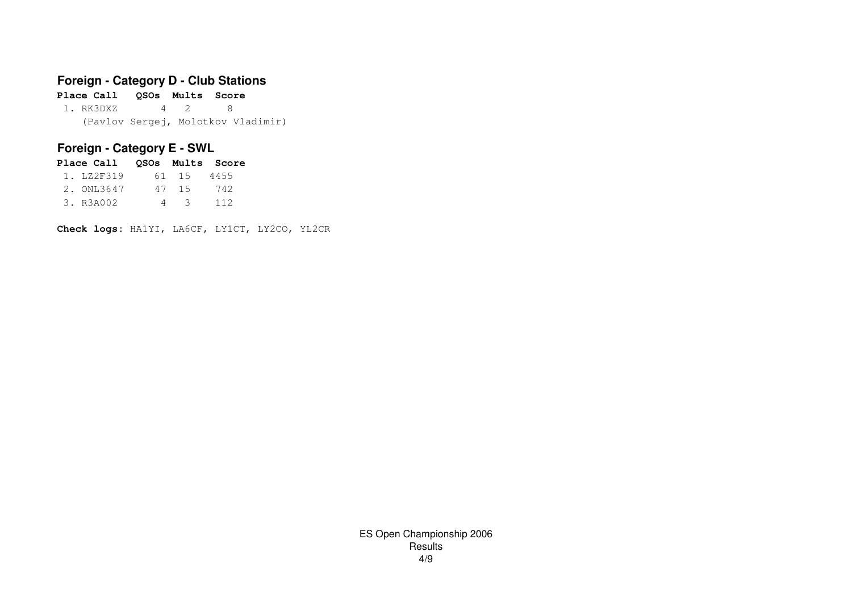## **Foreign - Category D - Club Stations**

**Place Call QSOs Mults Score**1. RK3DXZ 4 2 8 (Pavlov Sergej, Molotkov Vladimir)

## **Foreign - Category E - SWL**

| Place Call 0SOs Mults Score |   |            |     |
|-----------------------------|---|------------|-----|
| 1. LZ2F319                  |   | 61 15 4455 |     |
| 2. ONL3647                  |   | 47 15      | 742 |
| 3. R3A002                   | 4 | - 3        | 112 |

**Check logs:** HA1YI, LA6CF, LY1CT, LY2CO, YL2CR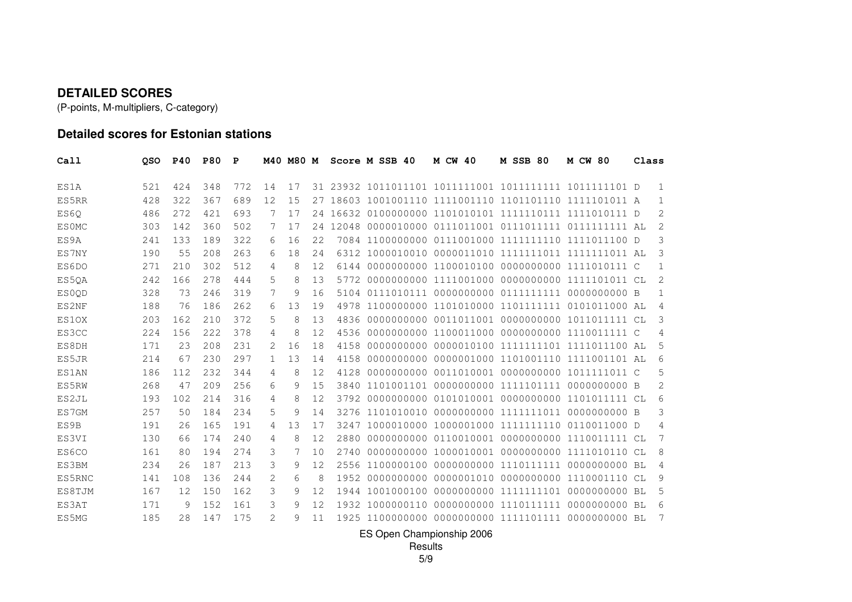#### **DETAILED SCORES**

(P-points, M-multipliers, C-category)

## **Detailed scores for Estonian stations**

| Call         | <b>OSO</b> | <b>P40</b> | <b>P80</b> | P   |    | M40 M80 M |     |       | Score M SSB 40 | <b>M CW 40</b>                                      | <b>M SSB 80</b>       | <b>M CW 80</b>                      | Class          |
|--------------|------------|------------|------------|-----|----|-----------|-----|-------|----------------|-----------------------------------------------------|-----------------------|-------------------------------------|----------------|
| ES1A         | 521        | 424        | 348        | 772 | 14 | 17        |     |       |                |                                                     |                       |                                     |                |
| ES5RR        | 428        | 322        | 367        | 689 | 12 | 15        | 27  |       |                | 18603 1001001110 1111001110 1101101110 1111101011 A |                       |                                     | 1              |
| ES60         | 486        | 2.72       | 421        | 693 | 7  | 17        | 2.4 |       |                | 16632 0100000000 1101010101 1111110111 1111010111 D |                       |                                     | 2              |
| <b>ESOMC</b> | 303        | 142        | 360        | 502 | 7  | 17        | 2.4 | 12048 |                |                                                     |                       |                                     | 2              |
| ES9A         | 241        | 133        | 189        | 322 | 6  | 16        | 22  |       |                | 7084 1100000000 0111001000 1111111110 1111011100 D  |                       |                                     | 3              |
| ES7NY        | 190        | 55         | 208        | 263 | 6  | 18        | 2.4 |       |                |                                                     |                       |                                     | 3              |
| ES6DO        | 271        | 210        | 302        | 512 | 4  | 8         | 12  | 6144  |                | 0000000000 1100010100 0000000000 1111010111 C       |                       |                                     | $\mathbf 1$    |
| ES5QA        | 2.42       | 166        | 2.78       | 444 | 5  | 8         | 13  |       |                | 5772 0000000000 1111001000 0000000000 1111101011 CL |                       |                                     | 2              |
| <b>ESOOD</b> | 328        | 73         | 246        | 319 | 7  | 9         | 16  | 5104  |                |                                                     |                       |                                     | 1              |
| ES2NF        | 188        | 76         | 186        | 262 | 6  | 13        | 19  | 4978  |                | 1100000000 1101010000 1101111111 0101011000 AL      |                       |                                     | $\overline{4}$ |
| ES10X        | 203        | 162        | 210        | 372 | 5  | 8         | 13  | 4836  |                |                                                     |                       |                                     | 3              |
| ES3CC        | 224        | 156        | 222        | 378 | 4  | 8         | 12  | 4536  |                | 0000000000 1100011000 0000000000 1110011111 C       |                       |                                     | 4              |
| ES8DH        | 171        | 23         | 208        | 231 | 2  | 16        | 18  | 4158  |                | 0000000000 0000010100 1111111101 1111011100 AL      |                       |                                     | 5              |
| ES5JR        | 214        | 67         | 230        | 297 | 1. | 13        | 14  | 4158  | 0000000000     |                                                     |                       | 0000001000 1101001110 1111001101 AL | 6              |
| ES1AN        | 186        | 112        | 232        | 344 | 4  | 8         | 12  | 4128  | 0000000000     |                                                     |                       | 0011010001 0000000000 1011111011 C  | 5              |
| ES5RW        | 268        | 47         | 209        | 256 | 6  | 9         | 15  | 3840  |                |                                                     |                       |                                     | 2              |
| ES2JL        | 193        | 102        | 214        | 316 | 4  | 8         | 12  | 3792  | 0000000000     |                                                     | 0101010001 0000000000 | 1101011111 CL                       | 6              |
| ES7GM        | 257        | 50         | 184        | 234 | 5  | 9         | 14  |       |                |                                                     |                       |                                     | 3              |
| ES9B         | 191        | 26         | 165        | 191 | 4  | 13        | 17  | 3247  |                | 1000010000 1000001000 1111111110 0110011000 D       |                       |                                     | 4              |
| ES3VI        | 130        | 66         | 174        | 240 | 4  | 8         | 12  | 2880  |                | 0000000000 0110010001 0000000000 1110011111 CL      |                       |                                     | 7              |
| ES6CO        | 161        | 80         | 194        | 274 | 3  | 7         | 10  | 2740  |                | 0000000000 1000010001 0000000000 1111010110 CL      |                       |                                     | 8              |
| ES3BM        | 234        | 26         | 187        | 213 | 3  | 9         | 12  |       |                |                                                     |                       |                                     | 4              |
| ES5RNC       | 141        | 108        | 136        | 244 | 2  | 6         | 8   | 1952  |                | 0000000000 0000001010 0000000000 1110001110 CL      |                       |                                     | 9              |
| ES8TJM       | 167        | 12         | 150        | 162 | 3  | 9         | 12  | 1944  | 1001000100     |                                                     | 0000000000 1111111101 | $00000000000B1$                     | 5              |
| ES3AT        | 171        | 9          | 152        | 161 | 3  | 9         | 12  |       |                |                                                     |                       |                                     | 6              |
| ES5MG        | 185        | 28         | 147        | 175 | 2  | q         | 11  |       |                | 1925 1100000000 0000000000 1111101111               |                       | 0000000000 BL                       |                |

ES Open Championship 2006

Results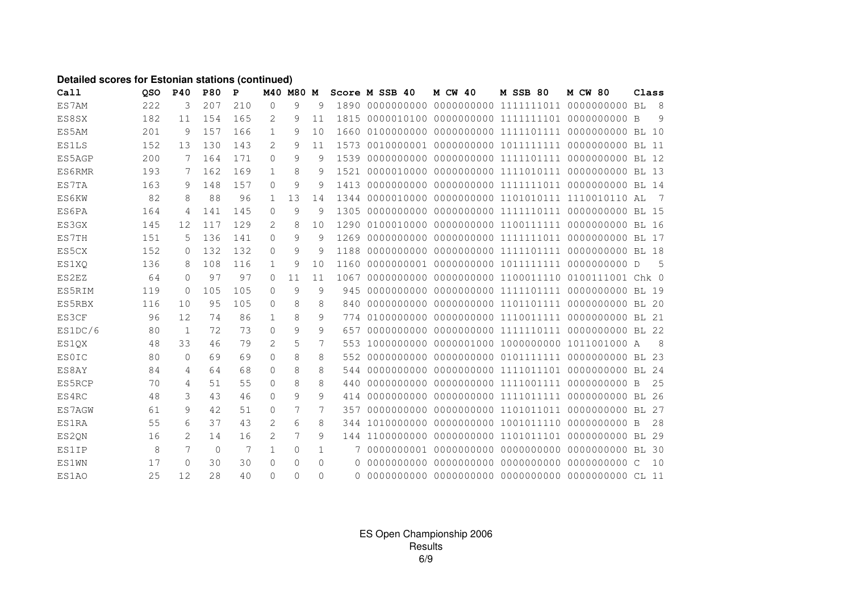#### **Detailed scores for Estonian stations (continued)**

| Call         | QSO | <b>P40</b> | <b>P80</b> | P   | M40          | <b>M80</b> | M        |      | Score M SSB 40 | <b>M CW 40</b> | <b>M SSB 80</b>                  | <b>M CW 80</b>                                 | Class |
|--------------|-----|------------|------------|-----|--------------|------------|----------|------|----------------|----------------|----------------------------------|------------------------------------------------|-------|
| ES7AM        | 222 | 3          | 207        | 210 | 0            | 9          | 9        |      |                |                |                                  |                                                | - 8   |
| ES8SX        | 182 | 11         | 154        | 165 | 2            | 9          | 11       | 1815 |                |                |                                  |                                                | 9     |
| ES5AM        | 201 | 9          | 157        | 166 | $\mathbf{1}$ | 9          | 10       | 1660 |                |                | 0100000000 0000000000 1111101111 | 0000000000                                     | BL 10 |
| <b>ES1LS</b> | 152 | 13         | 130        | 143 | 2            | 9          | 11       | 1573 |                |                |                                  |                                                |       |
| ES5AGP       | 200 | 7          | 164        | 171 | $\Omega$     | 9          | 9        | 1539 |                |                | 0000000000 0000000000 1111101111 | 0000000000 BL 12                               |       |
| ES6RMR       | 193 | 7          | 162        | 169 | 1            | 8          | 9        | 1521 |                |                |                                  |                                                |       |
| ES7TA        | 163 | 9          | 148        | 157 | $\Omega$     | 9          | 9        | 1413 |                |                | 0000000000 0000000000 1111111011 | 0000000000 BL 14                               |       |
| <b>ES6KW</b> | 82  | 8          | 88         | 96  | 1            | 13         | 14       | 1344 |                |                |                                  | 0000010000 0000000000 1101010111 1110010110 AL | - 7   |
| ES6PA        | 164 | 4          | 141        | 145 | $\Omega$     | 9          | 9        | 1305 |                |                | 0000000000 0000000000 1111110111 | 0000000000 BL 15                               |       |
| ES3GX        | 145 | 12         | 117        | 129 | 2            | 8          | 10       | 1290 |                |                |                                  |                                                |       |
| ES7TH        | 151 | 5          | 136        | 141 | $\Omega$     | 9          | 9        | 1269 |                |                | 0000000000 0000000000 1111111011 | 0000000000                                     | BL 17 |
| ES5CX        | 152 | $\Omega$   | 132        | 132 | $\Omega$     | 9          | 9        | 1188 |                |                |                                  |                                                |       |
| ES1XQ        | 136 | 8          | 108        | 116 | 1            | 9          | 10       | 1160 |                |                | 0000000001 0000000000 1011111111 | 0000000000 D                                   | .5    |
| ES2EZ        | 64  | $\Omega$   | 97         | 97  | $\Omega$     | 11         | 11       | 1067 | 0000000000     |                |                                  | 0000000000 1100011110 0100111001 Chk 0         |       |
| ES5RIM       | 119 | $\Omega$   | 105        | 105 | $\Omega$     | 9          | 9        | 945  | 0000000000     |                | 0000000000 1111101111            | 0000000000 BL 19                               |       |
| ES5RBX       | 116 | 10         | 95         | 105 | $\Omega$     | 8          | 8        | 840  |                |                |                                  |                                                |       |
| ES3CF        | 96  | 12         | 74         | 86  | 1            | 8          | 9        | 774  |                |                |                                  |                                                |       |
| ES1DC/6      | 80  | 1          | 72         | 73  | $\circ$      | 9          | 9        | 657  |                |                |                                  |                                                |       |
| ES1QX        | 48  | 33         | 46         | 79  | 2            | 5          | 7        | 553  |                |                |                                  |                                                | 8     |
| <b>ESOIC</b> | 80  | $\Omega$   | 69         | 69  | $\Omega$     | 8          | 8        | 552  |                |                |                                  |                                                |       |
| ES8AY        | 84  | 4          | 64         | 68  | $\circ$      | 8          | 8        | 544  |                |                |                                  |                                                |       |
| ES5RCP       | 70  | 4          | 51         | 55  | $\circ$      | 8          | 8        | 440  |                |                | 0000000000 0000000000 1111001111 | 0000000000 B                                   | 25    |
| ES4RC        | 48  | 3          | 43         | 46  | $\Omega$     | 9          | 9        | 414  |                |                |                                  |                                                |       |
| ES7AGW       | 61  | 9          | 42         | 51  | $\Omega$     | 7          | 7        | 357  |                |                |                                  |                                                |       |
| <b>ES1RA</b> | 55  | 6          | 37         | 43  | 2            | 6          | 8        | 344  |                |                |                                  |                                                | 28    |
| ES2QN        | 16  | 2          | 14         | 16  | 2            | 7          | 9        |      |                |                |                                  |                                                |       |
| <b>ES1IP</b> | 8   | 7          | $\Omega$   | 7   | $\mathbf{1}$ | 0          | 1        |      |                |                |                                  |                                                |       |
| <b>ES1WN</b> | 17  | $\Omega$   | 30         | 30  | $\Omega$     | $\Omega$   | $\Omega$ | 0    |                |                |                                  |                                                | 10    |
| ES1AO        | 25  | 12         | 28         | 40  | $\Omega$     | $\Omega$   | $\Omega$ | 0    |                |                |                                  |                                                |       |

ES Open Championship 2006Results6/9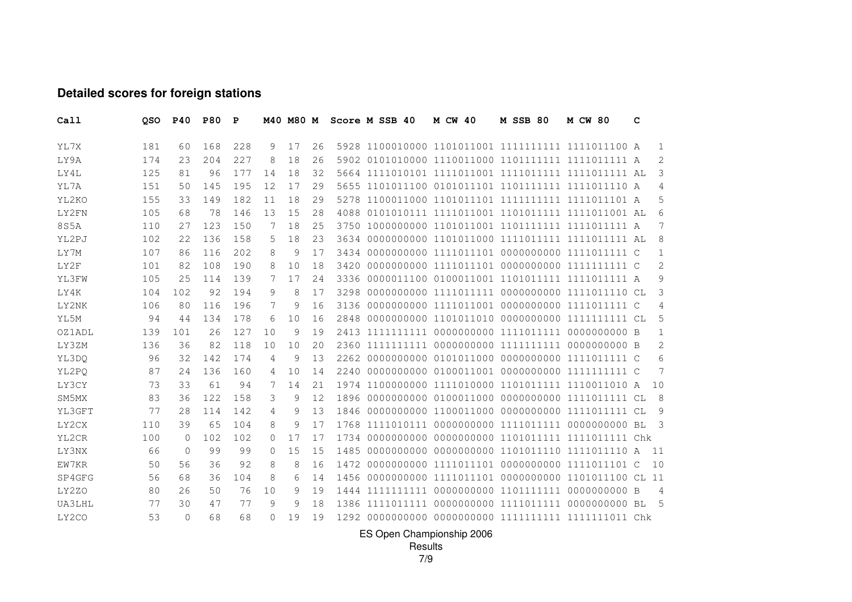## **Detailed scores for foreign stations**

| Call          | QSO | <b>P40</b> | <b>P80</b> | P   |          | M40 M80 M |    |      | Score M SSB 40 | <b>M CW 40</b> | <b>M SSB 80</b> | <b>M CW 80</b>                                       | c |                |
|---------------|-----|------------|------------|-----|----------|-----------|----|------|----------------|----------------|-----------------|------------------------------------------------------|---|----------------|
| YL7X          | 181 | 60         | 168        | 228 | 9        | 17        | 26 |      |                |                |                 | 5928 1100010000 1101011001 1111111111 1111011100 A   |   | 1              |
| LY9A          | 174 | 23         | 204        | 227 | 8        | 18        | 26 |      |                |                |                 | 5902 0101010000 1110011000 1101111111 1111011111 A   |   | 2              |
| LY4L          | 125 | 81         | 96         | 177 | 14       | 18        | 32 |      |                |                |                 | 5664 1111010101 1111011001 1111011111 1111011111 AL  |   | 3              |
| YL7A          | 151 | 50         | 145        | 195 | 12       | 17        | 29 |      |                |                |                 | 5655 1101011100 0101011101 1101111111 1111011110 A   |   | $\overline{4}$ |
| YL2KO         | 155 | 33         | 149        | 182 | 11       | 18        | 29 |      |                |                |                 | 5278 1100011000 1101011101 1111111111 1111011101 A   |   | 5              |
| LY2FN         | 105 | 68         | 78         | 146 | 13       | 15        | 28 | 4088 |                |                |                 |                                                      |   | 6              |
| 8S5A          | 110 | 27         | 123        | 150 | 7        | 18        | 25 |      |                |                |                 | 3750 1000000000 1101011001 1101111111 1111011111 A   |   | 7              |
| YL2PJ         | 102 | 22         | 136        | 158 | 5        | 18        | 23 | 3634 |                |                |                 | 0000000000 1101011000 1111011111 1111011111 AL       |   | 8              |
| LY7M          | 107 | 86         | 116        | 202 | 8        | 9         | 17 |      |                |                |                 | 3434 0000000000 1111011101 0000000000 1111011111 C   |   | 1              |
| LY2F          | 101 | 82         | 108        | 190 | 8        | 10        | 18 | 3420 |                |                |                 |                                                      |   | 2              |
| YL3FW         | 105 | 25         | 114        | 139 | 7        | 17        | 24 | 3336 |                |                |                 | 0000011100 0100011001 1101011111 1111011111 A        |   | 9              |
| LY4K          | 104 | 102        | 92         | 194 | 9        | 8         | 17 | 3298 |                |                |                 | 0000000000 1111011111 0000000000 1111011110 CL       |   | 3              |
| LY2NK         | 106 | 80         | 116        | 196 | 7        | 9         | 16 | 3136 |                |                |                 | 0000000000 1111011001 0000000000 1111011111 C        |   | 4              |
| YL5M          | 94  | 44         | 134        | 178 | 6        | 10        | 16 | 2848 |                |                |                 |                                                      |   | 5              |
| <b>OZ1ADL</b> | 139 | 101        | 26         | 127 | 10       | 9         | 19 | 2413 |                |                |                 |                                                      |   | $\mathbf{1}$   |
| LY3ZM         | 136 | 36         | 82         | 118 | 10       | 10        | 20 |      |                |                |                 |                                                      |   | 2              |
| YL3DQ         | 96  | 32         | 142        | 174 | 4        | 9         | 13 | 2262 |                |                |                 | 0000000000 0101011000 0000000000 1111011111 C        |   | 6              |
| YL2PO         | 87  | 24         | 136        | 160 | 4        | 10        | 14 | 2240 |                |                |                 |                                                      |   | 7              |
| LY3CY         | 73  | 33         | 61         | 94  | 7        | 14        | 21 |      |                |                |                 | 1974 1100000000 1111010000 1101011111 1110011010 A   |   | 10             |
| SM5MX         | 83  | 36         | 122        | 158 | 3        | 9         | 12 | 1896 |                |                |                 | 0000000000 0100011000 0000000000 1111011111 CL       |   | 8              |
| YL3GFT        | 77  | 28         | 114        | 142 | 4        | 9         | 13 | 1846 |                |                |                 | 0000000000 1100011000 0000000000 1111011111 CL       |   | 9              |
| LY2CX         | 110 | 39         | 65         | 104 | 8        | 9         | 17 |      |                |                |                 |                                                      |   | -3             |
| YL2CR         | 100 | $\Omega$   | 102        | 102 | $\Omega$ | 17        | 17 |      |                |                |                 | 1734 0000000000 0000000000 1101011111 1111011111 Chk |   |                |
| LY3NX         | 66  | $\Omega$   | 99         | 99  | 0        | 15        | 15 | 1485 |                |                |                 | 0000000000 0000000000 1101011110 1111011110 A        |   | 11             |
| EW7KR         | 50  | 56         | 36         | 92  | 8        | 8         | 16 | 1472 |                |                |                 | 0000000000 1111011101 0000000000 1111011101 C        |   | 10             |
| SP4GFG        | 56  | 68         | 36         | 104 | 8        | 6         | 14 | 1456 |                |                |                 | 0000000000 1111011101 0000000000 1101011100 CL 11    |   |                |
| LY2ZO         | 80  | 26         | 50         | 76  | 10       | 9         | 19 |      |                |                |                 |                                                      |   | $\overline{4}$ |
| UA3LHL        | 77  | 30         | 47         | 77  | 9        | $\circ$   | 18 |      |                |                |                 |                                                      |   | - 5            |
| LY2CO         | 53  | $\Omega$   | 68         | 68  | $\cap$   | 19        | 19 |      |                |                |                 |                                                      |   |                |

ES Open Championship 2006 Results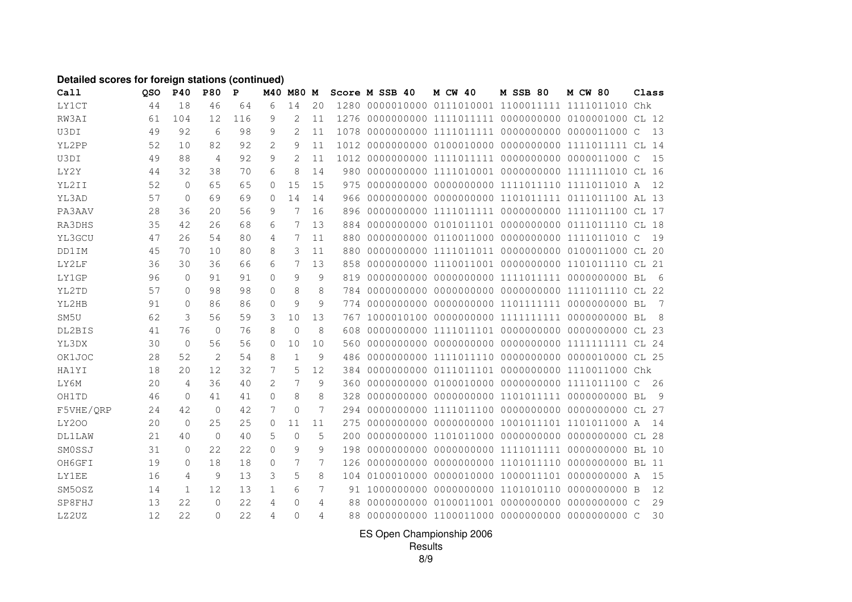## **Detailed scores for foreign stations (continued)**

| Call          | <b>OSO</b> | <b>P40</b>   | <b>P80</b>     | $\mathbf{P}$ | M40      | <b>M80</b>     | М  |     | Score M SSB 40 | <b>M CW 40</b> | <b>M SSB 80</b> | <b>M CW 80</b>                                         | Class        |  |
|---------------|------------|--------------|----------------|--------------|----------|----------------|----|-----|----------------|----------------|-----------------|--------------------------------------------------------|--------------|--|
| <b>LY1CT</b>  | 44         | 18           | 46             | 64           | 6        | 14             | 20 |     |                |                |                 |                                                        | Chk          |  |
| RW3AI         | 61         | 104          | 12             | 116          | 9        | 2              | 11 |     |                |                |                 | 1276 0000000000 1111011111 0000000000 0100001000 CL 12 |              |  |
| U3DI          | 49         | 92           | 6              | 98           | 9        | $\overline{2}$ | 11 |     |                |                |                 | 1078 0000000000 1111011111 0000000000 0000011000 C     | 13           |  |
| YL2PP         | 52         | 10           | 82             | 92           | 2        | 9              | 11 |     |                |                |                 | 1012 0000000000 0100010000 0000000000 1111011111 CL 14 |              |  |
| U3DI          | 49         | 88           | $\overline{4}$ | 92           | 9        | 2              | 11 |     |                |                |                 | 1012 0000000000 1111011111 0000000000 0000011000 C     | 15           |  |
| LY2Y          | 44         | 32           | 38             | 70           | 6        | 8              | 14 |     |                |                |                 |                                                        |              |  |
| YL2II         | 52         | $\mathbf{0}$ | 65             | 65           | $\Omega$ | 1.5            | 15 |     |                |                |                 |                                                        | 12           |  |
| YL3AD         | 57         | $\Omega$     | 69             | 69           | $\Omega$ | 14             | 14 | 966 |                |                |                 | 0000000000 0000000000 1101011111 0111011100 AL 13      |              |  |
| PA3AAV        | 28         | 36           | 20             | 56           | 9        | 7              | 16 |     |                |                |                 | 896 0000000000 1111011111 0000000000 1111011100 CL 17  |              |  |
| RA3DHS        | 35         | 42           | 26             | 68           | 6        | 7              | 13 |     |                |                |                 | 884 0000000000 0101011101 0000000000 0111011110 CL 18  |              |  |
| YL3GCU        | 47         | 26           | 54             | 80           | 4        | 7              | 11 |     |                |                |                 |                                                        | 19           |  |
| DD1IM         | 45         | 70           | 10             | 80           | 8        | 3              | 11 | 880 |                |                |                 | 0000000000 1111011011 0000000000 0100011000 CL 20      |              |  |
| LY2LF         | 36         | 30           | 36             | 66           | 6        | 7              | 13 | 858 |                |                |                 | 0000000000 1110011001 0000000000 1101011110 CL 21      |              |  |
| <b>LY1GP</b>  | 96         | $\mathbf{0}$ | 91             | 91           | $\circ$  | 9              | 9  |     |                |                |                 |                                                        | - 6          |  |
| YL2TD         | 57         | $\Omega$     | 98             | 98           | $\Omega$ | 8              | 8  |     |                |                |                 | 784 0000000000 0000000000 0000000000 1111011110 CL 22  |              |  |
| YL2HB         | 91         | $\mathbf{0}$ | 86             | 86           | $\circ$  | 9              | 9  |     |                |                |                 |                                                        | 7            |  |
| SM5U          | 62         | 3            | 56             | 59           | 3        | 10             | 13 |     |                |                |                 |                                                        | - 8          |  |
| DL2BIS        | 41         | 76           | $\mathbf{0}$   | 76           | 8        | $\Omega$       | 8  | 608 |                |                |                 |                                                        |              |  |
| YL3DX         | 30         | $\mathbf{0}$ | 56             | 56           | $\Omega$ | 10             | 10 |     |                |                |                 |                                                        |              |  |
| OK1JOC        | 28         | 52           | 2              | 54           | 8        | $\mathbf{1}$   | 9  | 486 |                |                |                 | 0000000000 1111011110 0000000000 0000010000 CL 25      |              |  |
| <b>HA1YI</b>  | 18         | 20           | 12             | 32           | 7        | 5              | 12 |     |                |                |                 | 384 0000000000 0111011101 0000000000 1110011000 Chk    |              |  |
| LY6M          | 20         | 4            | 36             | 40           | 2        | 7              | 9  |     |                |                |                 | 360 0000000000 0100010000 0000000000 1111011100 C      | 26           |  |
| OH1TD         | 46         | $\Omega$     | 41             | 41           | $\Omega$ | 8              | 8  |     |                |                |                 |                                                        | <sup>o</sup> |  |
| F5VHE/QRP     | 24         | 42           | $\mathbf{0}$   | 42           | 7        | $\Omega$       | 7  |     |                |                |                 |                                                        |              |  |
| <b>LY200</b>  | 20         | $\mathbf{0}$ | 25             | 25           | 0        | 11             | 11 | 275 |                |                |                 | 0000000000 0000000000 1001011101 1101011000 A          | 14           |  |
| <b>DL1LAW</b> | 21         | 40           | $\Omega$       | 40           | 5        | $\Omega$       | 5  |     |                |                |                 |                                                        |              |  |
| SMOSSJ        | 31         | $\Omega$     | 22             | 22           | $\Omega$ | 9              | 9  |     |                |                |                 |                                                        |              |  |
| OH6GFI        | 19         | $\mathbf{0}$ | 18             | 18           | $\circ$  | 7              | 7  |     |                |                |                 |                                                        |              |  |
| <b>LY1EE</b>  | 16         | 4            | 9              | 13           | 3        | 5              | 8  |     |                |                |                 |                                                        | 15           |  |
| SM50SZ        | 14         | 1            | 12             | 13           | 1        | 6              | 7  |     |                |                |                 |                                                        | 12           |  |
| SP8FHJ        | 13         | 22           | $\Omega$       | 2.2.         | 4        | $\Omega$       | 4  | 88  |                |                |                 |                                                        | 29           |  |
| LZ2UZ         | 12         | 22           | $\Omega$       | 22           | 4        | $\Omega$       | 4  | 88  |                |                |                 |                                                        | 30           |  |

ES Open Championship 2006

Results